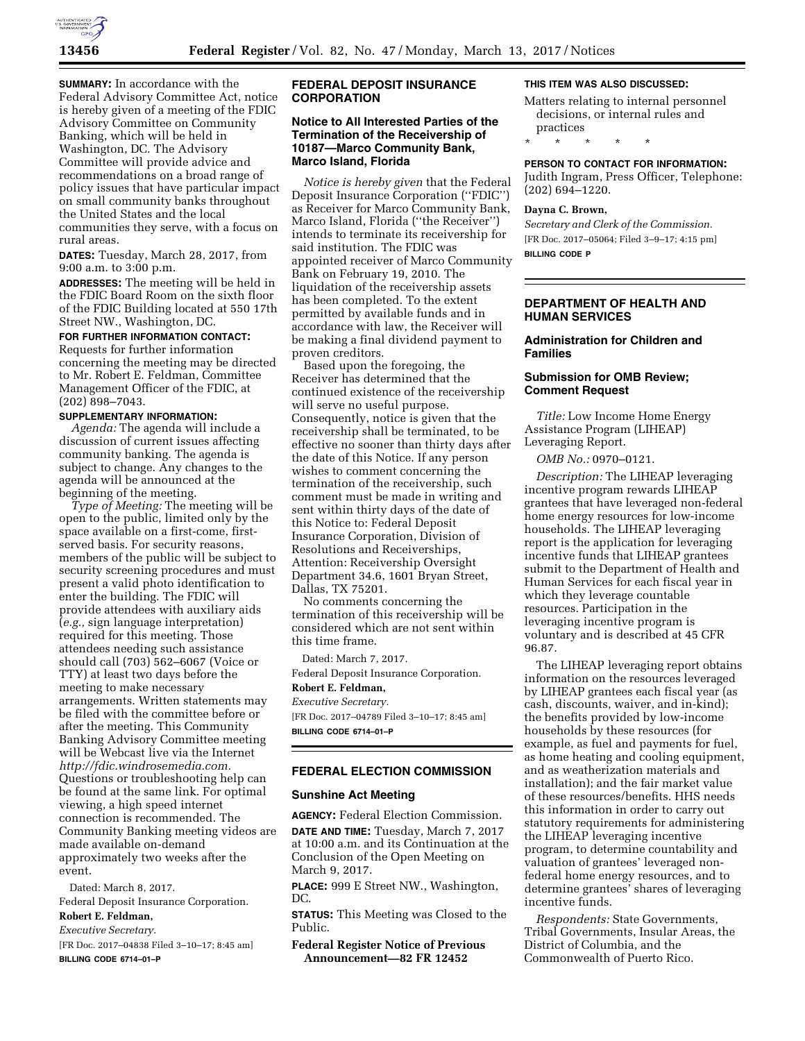

**SUMMARY:** In accordance with the Federal Advisory Committee Act, notice is hereby given of a meeting of the FDIC Advisory Committee on Community Banking, which will be held in Washington, DC. The Advisory Committee will provide advice and recommendations on a broad range of policy issues that have particular impact on small community banks throughout the United States and the local communities they serve, with a focus on rural areas.

**DATES:** Tuesday, March 28, 2017, from 9:00 a.m. to 3:00 p.m.

**ADDRESSES:** The meeting will be held in the FDIC Board Room on the sixth floor of the FDIC Building located at 550 17th Street NW., Washington, DC.

## **FOR FURTHER INFORMATION CONTACT:**

Requests for further information concerning the meeting may be directed to Mr. Robert E. Feldman, Committee Management Officer of the FDIC, at (202) 898–7043.

#### **SUPPLEMENTARY INFORMATION:**

*Agenda:* The agenda will include a discussion of current issues affecting community banking. The agenda is subject to change. Any changes to the agenda will be announced at the beginning of the meeting.

*Type of Meeting:* The meeting will be open to the public, limited only by the space available on a first-come, firstserved basis. For security reasons, members of the public will be subject to security screening procedures and must present a valid photo identification to enter the building. The FDIC will provide attendees with auxiliary aids (*e.g.,* sign language interpretation) required for this meeting. Those attendees needing such assistance should call (703) 562–6067 (Voice or TTY) at least two days before the meeting to make necessary arrangements. Written statements may be filed with the committee before or after the meeting. This Community Banking Advisory Committee meeting will be Webcast live via the Internet *[http://fdic.windrosemedia.com.](http://fdic.windrosemedia.com)*  Questions or troubleshooting help can be found at the same link. For optimal viewing, a high speed internet connection is recommended. The Community Banking meeting videos are made available on-demand approximately two weeks after the event.

Dated: March 8, 2017.

Federal Deposit Insurance Corporation. **Robert E. Feldman,** 

# *Executive Secretary.*

[FR Doc. 2017–04838 Filed 3–10–17; 8:45 am] **BILLING CODE 6714–01–P** 

## **FEDERAL DEPOSIT INSURANCE CORPORATION**

## **Notice to All Interested Parties of the Termination of the Receivership of 10187—Marco Community Bank, Marco Island, Florida**

*Notice is hereby given* that the Federal Deposit Insurance Corporation (''FDIC'') as Receiver for Marco Community Bank, Marco Island, Florida (''the Receiver'') intends to terminate its receivership for said institution. The FDIC was appointed receiver of Marco Community Bank on February 19, 2010. The liquidation of the receivership assets has been completed. To the extent permitted by available funds and in accordance with law, the Receiver will be making a final dividend payment to proven creditors.

Based upon the foregoing, the Receiver has determined that the continued existence of the receivership will serve no useful purpose. Consequently, notice is given that the receivership shall be terminated, to be effective no sooner than thirty days after the date of this Notice. If any person wishes to comment concerning the termination of the receivership, such comment must be made in writing and sent within thirty days of the date of this Notice to: Federal Deposit Insurance Corporation, Division of Resolutions and Receiverships, Attention: Receivership Oversight Department 34.6, 1601 Bryan Street, Dallas, TX 75201.

No comments concerning the termination of this receivership will be considered which are not sent within this time frame.

Dated: March 7, 2017.

Federal Deposit Insurance Corporation. **Robert E. Feldman,** 

#### *Executive Secretary.*

[FR Doc. 2017–04789 Filed 3–10–17; 8:45 am] **BILLING CODE 6714–01–P** 

#### **FEDERAL ELECTION COMMISSION**

#### **Sunshine Act Meeting**

**AGENCY:** Federal Election Commission. **DATE AND TIME:** Tuesday, March 7, 2017 at 10:00 a.m. and its Continuation at the Conclusion of the Open Meeting on March 9, 2017.

**PLACE:** 999 E Street NW., Washington, DC.

**STATUS:** This Meeting was Closed to the Public.

**Federal Register Notice of Previous Announcement—82 FR 12452** 

#### **THIS ITEM WAS ALSO DISCUSSED:**

Matters relating to internal personnel decisions, or internal rules and practices

\* \* \* \* \*

#### **PERSON TO CONTACT FOR INFORMATION:**

Judith Ingram, Press Officer, Telephone: (202) 694–1220.

#### **Dayna C. Brown,**

*Secretary and Clerk of the Commission.*  [FR Doc. 2017–05064; Filed 3–9–17; 4:15 pm] **BILLING CODE P** 

## **DEPARTMENT OF HEALTH AND HUMAN SERVICES**

## **Administration for Children and Families**

## **Submission for OMB Review; Comment Request**

*Title:* Low Income Home Energy Assistance Program (LIHEAP) Leveraging Report.

*OMB No.:* 0970–0121.

*Description:* The LIHEAP leveraging incentive program rewards LIHEAP grantees that have leveraged non-federal home energy resources for low-income households. The LIHEAP leveraging report is the application for leveraging incentive funds that LIHEAP grantees submit to the Department of Health and Human Services for each fiscal year in which they leverage countable resources. Participation in the leveraging incentive program is voluntary and is described at 45 CFR 96.87.

The LIHEAP leveraging report obtains information on the resources leveraged by LIHEAP grantees each fiscal year (as cash, discounts, waiver, and in-kind); the benefits provided by low-income households by these resources (for example, as fuel and payments for fuel, as home heating and cooling equipment, and as weatherization materials and installation); and the fair market value of these resources/benefits. HHS needs this information in order to carry out statutory requirements for administering the LIHEAP leveraging incentive program, to determine countability and valuation of grantees' leveraged nonfederal home energy resources, and to determine grantees' shares of leveraging incentive funds.

*Respondents:* State Governments, Tribal Governments, Insular Areas, the District of Columbia, and the Commonwealth of Puerto Rico.